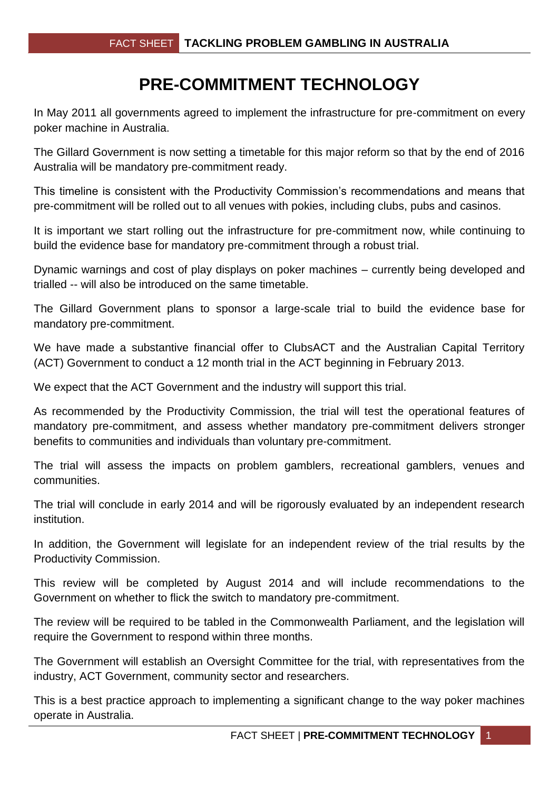## **PRE-COMMITMENT TECHNOLOGY**

In May 2011 all governments agreed to implement the infrastructure for pre-commitment on every poker machine in Australia.

The Gillard Government is now setting a timetable for this major reform so that by the end of 2016 Australia will be mandatory pre-commitment ready.

This timeline is consistent with the Productivity Commission's recommendations and means that pre-commitment will be rolled out to all venues with pokies, including clubs, pubs and casinos.

It is important we start rolling out the infrastructure for pre-commitment now, while continuing to build the evidence base for mandatory pre-commitment through a robust trial.

Dynamic warnings and cost of play displays on poker machines – currently being developed and trialled -- will also be introduced on the same timetable.

The Gillard Government plans to sponsor a large-scale trial to build the evidence base for mandatory pre-commitment.

We have made a substantive financial offer to ClubsACT and the Australian Capital Territory (ACT) Government to conduct a 12 month trial in the ACT beginning in February 2013.

We expect that the ACT Government and the industry will support this trial.

As recommended by the Productivity Commission, the trial will test the operational features of mandatory pre-commitment, and assess whether mandatory pre-commitment delivers stronger benefits to communities and individuals than voluntary pre-commitment.

The trial will assess the impacts on problem gamblers, recreational gamblers, venues and communities.

The trial will conclude in early 2014 and will be rigorously evaluated by an independent research institution.

In addition, the Government will legislate for an independent review of the trial results by the Productivity Commission.

This review will be completed by August 2014 and will include recommendations to the Government on whether to flick the switch to mandatory pre-commitment.

The review will be required to be tabled in the Commonwealth Parliament, and the legislation will require the Government to respond within three months.

The Government will establish an Oversight Committee for the trial, with representatives from the industry, ACT Government, community sector and researchers.

This is a best practice approach to implementing a significant change to the way poker machines operate in Australia.